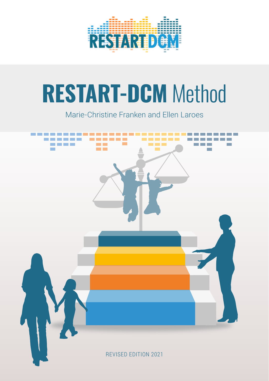

# **RESTART-DCM** Method

Marie-Christine Franken and Ellen Laroes

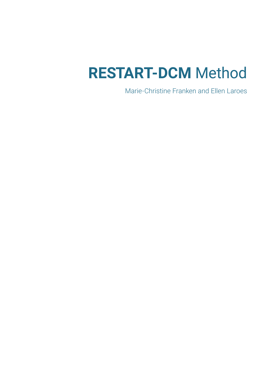# **RESTART-DCM** Method

Marie-Christine Franken and Ellen Laroes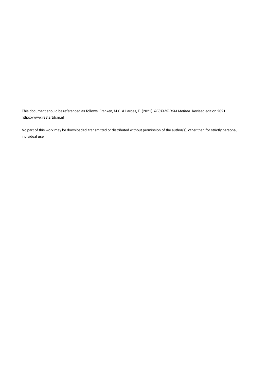This document should be referenced as follows: Franken, M.C. & Laroes, E. (2021). *RESTART-DCM Method.* Revised edition 2021. <https://www.restartdcm.nl>

No part of this work may be downloaded, transmitted or distributed without permission of the author(s), other than for strictly personal, individual use.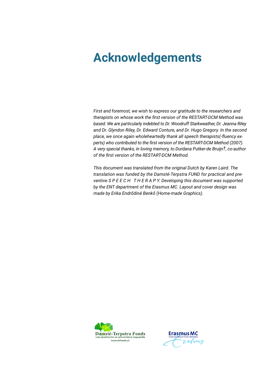## **Acknowledgements**

*First and foremost, we wish to express our gratitude to the researchers and therapists on whose work the first version of the RESTART-DCM Method was based. We are particularly indebted to Dr. Woodruff Starkweather, Dr. Jeanna Riley and Dr. Glyndon Riley, Dr. Edward Conture, and Dr. Hugo Gregory. In the second place, we once again wholeheartedly thank all speech therapists(-fluency experts) who contributed to the first version of the RESTART-DCM Method (2007). A very special thanks, in loving memory, to Durdana Putker-de Bruijn†, co-author of the first version of the RESTART-DCM Method.*

*This document was translated from the original Dutch by Karen Laird. The translation was funded by the Damsté-Terpstra FUND for practical and preventive S P E E C H T H E R A P Y. Developing this document was supported by the ENT department of the Erasmus MC. Layout and cover design was made by Erika Endrődiné Benkő (Home-made Graphics).*



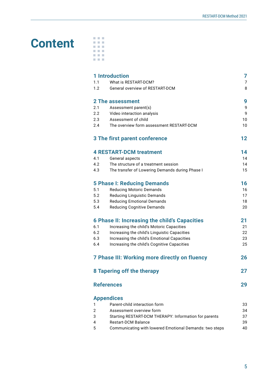## **Content**

|  | a ma |  |
|--|------|--|
|  | ш    |  |
|  |      |  |
|  |      |  |
|  |      |  |

|                | <b>1 Introduction</b>                                          | 7                   |
|----------------|----------------------------------------------------------------|---------------------|
| 1.1<br>1.2     | What is RESTART-DCM?<br><b>General overview of RESTART-DCM</b> | $\overline{7}$<br>8 |
|                | 2 The assessment                                               | 9                   |
| 2.1            | Assessment parent(s)                                           | 9                   |
| 2.2            | Video interaction analysis                                     | 9                   |
| 2.3            | Assessment of child                                            | 10                  |
| 2.4            | The overview form assessment RESTART-DCM                       | 10                  |
|                | <b>3 The first parent conference</b>                           | $12 \,$             |
|                | <b>4 RESTART-DCM treatment</b>                                 | 14                  |
| 4.1            | General aspects                                                | 14                  |
| 4.2            | The structure of a treatment session                           | 14                  |
| 4.3            | The transfer of Lowering Demands during Phase I                | 15                  |
|                | <b>5 Phase I: Reducing Demands</b>                             | 16                  |
| 5.1            | <b>Reducing Motoric Demands</b>                                | 16                  |
| 5.2            | <b>Reducing Linguistic Demands</b>                             | 17                  |
| 5.3            | <b>Reducing Emotional Demands</b>                              | 18                  |
| 5.4            | <b>Reducing Cognitive Demands</b>                              | 20                  |
|                | 6 Phase II: Increasing the child's Capacities                  | 21                  |
| 6.1            | Increasing the child's Motoric Capacities                      | 21                  |
| 6.2            | Increasing the child's Linguistic Capacities                   | 22                  |
| 6.3            | Increasing the child's Emotional Capacities                    | 23                  |
| 6.4            | Increasing the child's Cognitive Capacities                    | 25                  |
|                | 7 Phase III: Working more directly on fluency                  | 26                  |
|                | 8 Tapering off the therapy                                     | 27                  |
|                | <b>References</b>                                              | 29                  |
|                | <b>Appendices</b>                                              |                     |
| 1              | Parent-child interaction form                                  | 33                  |
| $\overline{2}$ | Assessment overview form                                       | 34                  |
| 3              | Starting RESTART-DCM THERAPY: Information for parents          | 37                  |
| 4              | <b>Restart-DCM Balance</b>                                     | 39                  |
| 5              | Communicating with lowered Emotional Demands: two steps        | 40                  |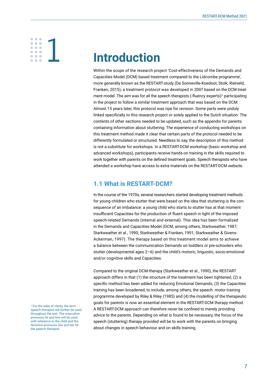# <span id="page-5-0"></span>**░1**

## **Introduction**

Within the scope of the research project 'Cost-effectiveness of the Demands and Capacities Model (DCM) based treatment compared to the Lidcombe programme', more generally known as the RESTART-study (De Sonneville-Koedoot, Stolk, Rietveld, Franken, 2015), a treatment protocol was developed in 2007 based on the DCM treatment model. The aim was for all the speech therapists (-fluency experts)<sup>1</sup> participating in the project to follow a similar treatment approach that was based on the DCM. Almost 15 years later, this protocol was ripe for revision. Some parts were unduly linked specifically to this research project or solely applied to the Dutch situation. The contents of other sections needed to be updated, such as the appendix for parents containing information about stuttering. The experience of conducting workshops on this treatment method made it clear that certain parts of the protocol needed to be differently formulated or structured. Needless to say, the description of this method is not a substitute for workshops. In a RESTART-DCM workshop (basic workshop and advanced workshops), participants receive hands-on training in the skills required to work together with parents on the defined treatment goals. Speech therapists who have attended a workshop have access to extra materials on the RESTART-DCM website.

### **1.1 What is RESTART-DCM?**

In the course of the 1970s, several researchers started developing treatment methods for young children who stutter that were based on the idea that stuttering is the consequence of an imbalance: a young child who starts to stutter has at that moment insufficient Capacities for the production of fluent speech in light of the imposed speech-related Demands (internal and external). This idea has been formalized in the Demands and Capacities Model (DCM, among others, Starkweather, 1987; Starkweather et al., 1990; Starkweather & Franken, 1991; Starkweather & Givens-Ackerman, 1997). The therapy based on this treatment model aims to achieve a balance between the communication Demands on toddlers or pre-schoolers who stutter (developmental ages 2–6) and the child's motoric, linguistic, socio-emotional and/or cognitive skills and Capacities.

Compared to the original DCM-therapy (Starkweather et al., 1990), the RESTART approach differs in that (1) the structure of the treatment has been tightened, (2) a specific method has been added for reducing Emotional Demands, (3) the Capacities training has been broadened, to include, among others, the speech motor training programme developed by Riley & Riley (1985) and (4) the *modelling* of the therapeutic goals for parents is now an essential element in the RESTART-DCM therapy method. A RESTART-DCM approach can therefore never be confined to merely providing *advice* to the parents. Depending on what is found to be necessary, the focus of the speech (stuttering) therapy provided will be to work with the parents on bringing about changes in speech behaviour and on skills training.

<sup>&</sup>lt;sup>1</sup> For the sake of clarity, the term speech therapist will further be used throughout the text. The masculine pronouns he and him will be used with reference to the child and the feminine pronouns she and her for the speech therapist.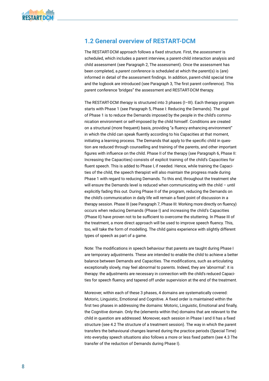### <span id="page-6-0"></span>**1.2 General overview of RESTART-DCM**

The RESTART-DCM approach follows a fixed structure. First, the *assessment* is scheduled, which includes a parent interview, a parent-child interaction analysis and child assessment (see Paragraph 2, The assessment). Once the assessment has been completed, a *parent conference* is scheduled at which the parent(s) is (are) informed in detail of the assessment findings. In addition, parent-child special time and the logbook are introduced (see Paragraph 3, The first parent conference). This parent conference 'bridges" the assessment and RESTART-DCM therapy.

The RESTART-DCM *therapy* is structured into 3 phases (I–III). Each therapy program starts with Phase 1 (see Paragraph 5, Phase I: Reducing the Demands). The goal of Phase 1 is to reduce the Demands imposed by the people in the child's communication environment or self-imposed by the child himself. Conditions are created on a structural (more frequent) basis, providing "a fluency enhancing environment" in which the child can speak fluently according to his Capacities at that moment, initiating a learning process. The Demands that apply to the specific child in question are reduced through counselling and training of the parents, and other important figures with influence on the child. Phase II of the therapy (see Paragraph 6, Phase II: Increasing the Capacities) consists of explicit training of the child's Capacities for fluent speech. This is added to Phase I, if needed. Hence, while training the Capacities of the child, the speech therapist will also maintain the progress made during Phase 1 with regard to reducing Demands. To this end, throughout the treatment she will ensure the Demands level is reduced when communicating with the child – until explicitly fading this out. During Phase II of the program, reducing the Demands on the child's communication in daily life will remain a fixed point of discussion in a therapy session. Phase III (see Paragraph 7, Phase III: Working more directly on fluency) occurs when reducing Demands (Phase I) and increasing the child's Capacities (Phase II) have proven not to be sufficient to overcome the stuttering. In Phase III of the treatment, a more direct approach will be used to improve speech fluency. This, too, will take the form of modelling. The child gains experience with slightly different types of speech as part of a game.

Note: The modifications in speech behaviour that parents are taught during Phase I are temporary adjustments. These are intended to enable the child to achieve a better balance between Demands and Capacities. The modifications, such as articulating exceptionally slowly, may feel abnormal to parents. Indeed, they are 'abnormal': it is therapy: the adjustments are necessary in connection with the child's reduced Capacities for speech fluency and tapered off under supervision at the end of the treatment.

Moreover, within each of these 3 phases, 4 domains are systematically covered: Motoric, Linguistic, Emotional and Cognitive. A fixed order is maintained within the first two phases in addressing the domains: Motoric, Linguistic, Emotional and finally, the Cognitive domain. Only the (elements within the) domains that are relevant to the child in question are addressed. Moreover, each session in Phase I and II has a fixed structure (see 4.2 The structure of a treatment session). The way in which the parent transfers the behavioural changes learned during the practice periods (Special Time) into everyday speech situations also follows a more or less fixed pattern (see 4.3 The transfer of the reduction of Demands during Phase I).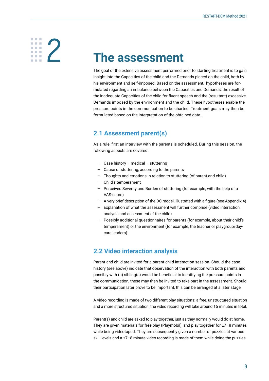# <span id="page-7-0"></span>**░2**

## **The assessment**

The goal of the extensive assessment performed prior to starting treatment is to gain insight into the Capacities of the child and the Demands placed on the child, both by his environment and self-imposed. Based on the assessment, hypotheses are formulated regarding an imbalance between the Capacities and Demands, the result of the inadequate Capacities of the child for fluent speech and the (resultant) excessive Demands imposed by the environment and the child. These hypotheses enable the pressure points in the communication to be charted. Treatment goals may then be formulated based on the interpretation of the obtained data.

### **2.1 Assessment parent(s)**

As a rule, first an interview with the parents is scheduled. During this session, the following aspects are covered:

- Case history medical stuttering
- Cause of stuttering, according to the parents
- Thoughts and emotions in relation to stuttering (of parent and child)
- Child's temperament
- Perceived Severity and Burden of stuttering (for example, with the help of a VAS-score)
- A very brief description of the DC model, illustrated with a figure (see Appendix 4)
- Explanation of what the assessment will further comprise (video interaction analysis and assessment of the child)
- Possibly additional questionnaires for parents (for example, about their child's temperament) or the environment (for example, the teacher or playgroup/daycare leaders).

### **2.2 Video interaction analysis**

Parent and child are invited for a parent-child interaction session. Should the case history (see above) indicate that observation of the interaction with both parents and possibly with (a) sibling(s) would be beneficial to identifying the pressure points in the communication, these may then be invited to take part in the assessment. Should their participation later prove to be important, this can be arranged at a later stage.

A video recording is made of two different play situations: a free, unstructured situation and a more structured situation; the video recording will take around 15 minutes in total.

Parent(s) and child are asked to play together, just as they normally would do at home. They are given materials for free play (Playmobil), and play together for ±7–8 minutes while being videotaped. They are subsequently given a number of puzzles at various skill levels and a ±7-8 minute video recording is made of them while doing the puzzles.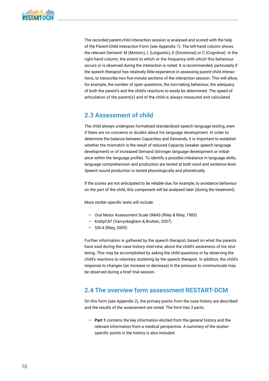<span id="page-8-0"></span>The recorded parent-child interaction session is analysed and scored with the help of the Parent-Child Interaction Form (see Appendix 1). The left-hand column shows the relevant Demand: M (Motoric), L (Linguistic), E (Emotional) or C (Cognitive). In the right-hand column, the extent to which or the frequency with which this behaviour occurs or is observed during the interaction is noted. It is recommended, particularly if the speech therapist has relatively little experience in assessing parent-child interactions, to transcribe two five-minute sections of the interaction session. This will allow, for example, the number of open questions, the turn-taking behaviour, the adequacy of both the parent's and the child's reactions to easily be determined. The speed of articulation of the parent(s) and of the child is always measured and calculated.

### **2.3 Assessment of child**

The child always undergoes formalised standardized speech language testing, even if there are no concerns or doubts about his language development. In order to determine the balance between Capacities and Demands, it is important to establish whether the mismatch is the result of reduced Capacity (weaker speech language development) or of increased Demand (stronger language development or imbalance within the language profile). To identify a possible imbalance in language skills, language comprehension and production are tested at both word and sentence level. Speech sound production is tested phonologically and phonetically.

If the scores are not anticipated to be reliable due, for example, to avoidance behaviour on the part of the child, this component will be analysed later (during the treatment).

More stutter specific tests will include:

- Oral Motor Assessment Scale OMAS (Riley & Riley, 1985)
- KiddyCAT (Vanryckeghem & Brutten, 2007)
- SSI-4 (Riley, 2009).

Further information is gathered by the speech therapist, based on what the parents have said during the case history interview, about the child's awareness of his stuttering. This may be accomplished by asking the child questions or by observing the child's reactions to voluntary stuttering by the speech therapist. In addition, the child's response to changes (an increase or decrease) in the pressure to communicate may be observed during a brief trial session.

### **2.4 The overview form assessment RESTART-DCM**

On this form (see Appendix 2), the primary points from the case history are described and the results of the assessment are noted. The form has 3 parts:

— **Part 1** contains the key information elicited from the general history and the relevant information from a medical perspective. A summary of the stutterspecific points in the history is also included.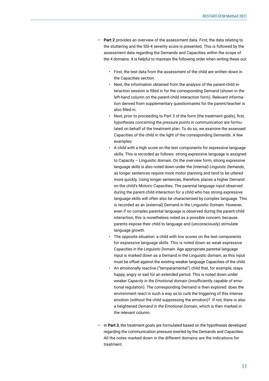- Part 2 provides an overview of the assessment data. First, the data relating to the stuttering and the SSI-4 severity score is presented. This is followed by the assessment data regarding the Demands and Capacities within the scope of the 4 domains. It is helpful to maintain the following order when writing these out:
	- First, the test data from the assessment of the child are written down in the Capacities section.
	- Next, the information obtained from the analysis of the parent-child interaction session is filled in for the corresponding Demand (shown in the left-hand column on the parent-child interaction form). Relevant information derived from supplementary questionnaires for the parent/teacher is also filled in.
	- Next, prior to proceeding to Part 3 of the form (the treatment goals), first, *hypotheses concerning the pressure points in communication* are formulated on behalf of the treatment plan. To do so, we examine the assessed Capacities of the child in the light of the corresponding Demands. A few examples:
	- A child with a high score on the test components for expressive language skills. This is recorded as follows: strong expressive language is assigned to Capacity – Linguistic domain. On the overview form, strong expressive language skills is also noted down under the *(internal) Linguistic Demands*, as longer sentences require more motor planning and tend to be uttered more quickly. Using longer sentences, therefore, places a higher Demand on the child's Motoric Capacities. The parental language input observed during the parent-child interaction for a child who has strong expressive language skills will often also be characterised by complex language. This is recorded as an (external) Demand in the Linguistic Domain. However, even if no complex parental language is observed during the parent-child interaction, this is nonetheless noted as a possible concern, because parents expose their child to language and (unconsciously) stimulate language growth.
	- The opposite situation: a child with low scores on the test components for expressive language skills. This is noted down as weak expressive *Capacities in the Linguistic Domain*. Age appropriate parental language input is marked down as a Demand in the Linguistic domain, as this input must be offset against the existing weaker language Capacities of the child.
	- An emotionally reactive ("temperamental") child that, for example, stays happy, angry or sad for an extended period. This is noted down under weaker *Capacity in the Emotional domain* (insufficiently capable of emotional regulation). The corresponding Demand is then explored: does the environment react in such a way as to curb the triggering of this intense emotion (without the child suppressing the emotion)? If not, there is also a heightened *Demand in the Emotional Domain*, which is then marked in the relevant column.
- In **Part 3**, the treatment goals are formulated based on the hypotheses developed regarding the communication pressure exerted by the Demands and Capacities. All the notes marked down in the different domains are the indications for treatment.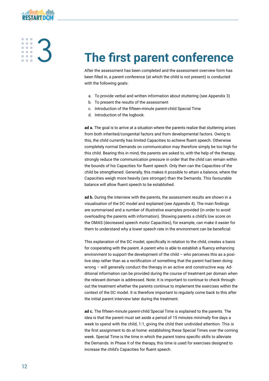<span id="page-10-0"></span>

# **░3**

# **The first parent conference**

After the assessment has been completed and the assessment overview form has been filled in, a parent conference (at which the child is not present) is conducted with the following goals:

- a. To provide verbal and written information about stuttering (see Appendix 3)
- b. To present the results of the assessment
- c. Introduction of the fifteen-minute parent-child Special Time
- d. Introduction of the logbook.

**ad a.** The goal is to arrive at a situation where the parents realize that stuttering arises from both inherited/congenital factors and from developmental factors. Owing to this, the child currently has limited Capacities to achieve fluent speech. Otherwise completely normal Demands on communication may therefore simply be too high for this child. Bearing this in mind, the parents are asked to, with the help of the therapy, strongly reduce the communication pressure in order that the child can remain within the bounds of his Capacities for fluent speech. Only then can the Capacities of the child be strengthened. Generally, this makes it possible to attain a balance, where the Capacities weigh more heavily (are stronger) than the Demands. This favourable balance will allow fluent speech to be established.

**ad b.** During the interview with the parents, the assessment results are shown in a visualisation of the DC model and explained (see Appendix 4). The main findings are summarised and a number of illustrative examples provided (in order to avoid overloading the parents with information). Showing parents a child's low score on the OMAS (decreased speech motor Capacities), for example, can make it easier for them to understand why a lower speech rate in the environment can be beneficial.

This explanation of the DC model, specifically in relation to the child, creates a basis for cooperating with the parent. A parent who is able to establish a fluency enhancing environment to support the development of the child – who perceives this as a positive step rather than as a rectification of something that the parent had been doing wrong – will generally conduct the therapy in an active and constructive way. Additional information can be provided during the course of treatment per domain when the relevant domain is addressed. Note: It is important to continue to check throughout the treatment whether the parents continue to implement the exercises within the context of the DC model. It is therefore important to regularly come back to this after the initial parent interview later during the treatment.

**ad c.** The fifteen-minute parent-child Special Time is explained to the parents. The idea is that the parent must set aside a period of 15 minutes *minimally* five days a week to spend with the child, 1:1, giving the child their undivided attention. This is the first assignment to do at home: establishing these Special Times over the coming week. Special Time is the time in which the parent trains specific skills to alleviate the Demands. In Phase II of the therapy, this time is used for exercises designed to increase the child's Capacities for fluent speech.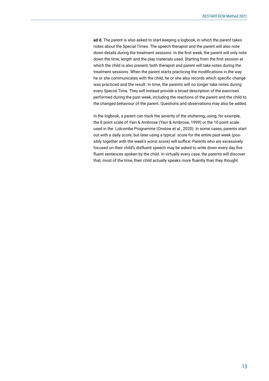**ad d.** The parent is also asked to start keeping a logbook, in which the parent takes notes about the Special Times. The speech therapist and the parent will also note down details during the treatment sessions. In the first week, the parent will only note down the time, length and the play materials used. Starting from the first session at which the child is also present, both therapist and parent will take notes during the treatment sessions. When the parent starts practicing the modifications in the way he or she communicates with the child, he or she also records which specific change was practiced and the result. In time, the parents will no longer take notes during every Special Time. They will instead provide a broad description of the exercises performed during the past week, including the reactions of the parent and the child to the changed behaviour of the parent. Questions and observations may also be added.

In the logbook, a parent can track the severity of the stuttering, using, for example, the 8 point scale of Yairi & Ambrose (Yairi & Ambrose, 1999) or the 10 point scale used in the Lidcombe Programme (Onslow et al., 2020). In some cases, parents start out with a daily score, but later using a typical score for the entire past week (possibly together with the week's worst score) will suffice. Parents who are excessively focused on their child's disfluent speech may be asked to write down every day five fluent sentences spoken by the child. In virtually every case, the parents will discover that, most of the time, their child actually speaks more fluently than they thought.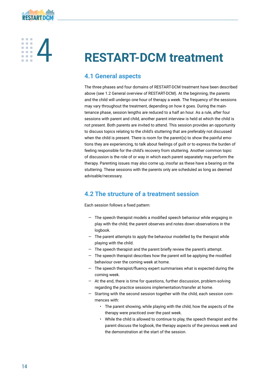<span id="page-12-0"></span>

**░4**

# **RESTART-DCM treatment**

### **4.1 General aspects**

The three phases and four domains of RESTART-DCM treatment have been described above (see 1.2 General overview of RESTART-DCM). At the beginning, the parents and the child will undergo one hour of therapy a week. The frequency of the sessions may vary throughout the treatment, depending on how it goes. During the maintenance phase, session lengths are reduced to a half an hour. As a rule, after four sessions with parent and child, another parent interview is held at which the child is not present. Both parents are invited to attend. This session provides an opportunity to discuss topics relating to the child's stuttering that are preferably not discussed when the child is present. There is room for the parent(s) to show the painful emotions they are experiencing, to talk about feelings of guilt or to express the burden of feeling responsible for the child's recovery from stuttering. Another common topic of discussion is the role of or way in which each parent separately may perform the therapy. Parenting issues may also come up, insofar as these have a bearing on the stuttering. These sessions with the parents only are scheduled as long as deemed advisable/necessary.

### **4.2 The structure of a treatment session**

Each session follows a fixed pattern:

- The speech therapist models a modified speech behaviour while engaging in play with the child; the parent observes and notes down observations in the logbook.
- The parent attempts to apply the behaviour modelled by the therapist while playing with the child.
- The speech therapist and the parent briefly review the parent's attempt.
- $-$  The speech therapist describes how the parent will be applying the modified behaviour over the coming week at home.
- The speech therapist/fluency expert summarises what is expected during the coming week.
- At the end, there is time for questions, further discussion, problem-solving regarding the practice sessions implementation/transfer at home.
- Starting with the second session together with the child, each session commences with:
	- The parent showing, while playing with the child, how the aspects of the therapy were practiced over the past week.
	- While the child is allowed to continue to play, the speech therapist and the parent discuss the logbook, the therapy aspects of the previous week and the demonstration at the start of the session.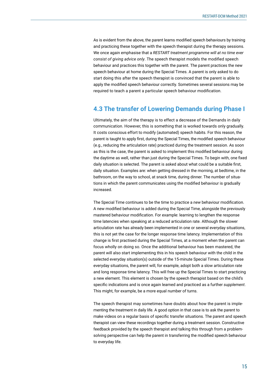<span id="page-13-0"></span>As is evident from the above, the parent learns modified speech behaviours by training and practicing these together with the speech therapist during the therapy sessions. We once again emphasise that a *RESTART treatment programme will at no time ever consist of giving advice only*. The speech therapist models the modified speech behaviour and practices this together with the parent. The parent practices the new speech behaviour at home during the Special Times. A parent is only asked to do start doing this after the speech therapist is convinced that the parent is able to apply the modified speech behaviour correctly. Sometimes several sessions may be required to teach a parent a particular speech behaviour modification.

### **4.3 The transfer of Lowering Demands during Phase I**

Ultimately, the aim of the therapy is to effect a decrease of the Demands in daily communication. However, this is something that is worked towards only gradually. It costs conscious effort to modify (automated) speech habits. For this reason, the parent is taught to apply first, during the Special Times, the modified speech behaviour (e.g., reducing the articulation rate) practiced during the treatment session. As soon as this is the case, the parent is asked to implement this modified behaviour during the daytime as well, rather than just during the Special Times. To begin with, one fixed daily situation is selected. The parent is asked about what could be a suitable first, daily situation. Examples are: when getting dressed in the morning, at bedtime, in the bathroom, on the way to school, at snack time, during dinner. The number of situations in which the parent communicates using the modified behaviour is gradually increased.

The Special Time continues to be the time to practice a *new* behaviour modification. A new modified behaviour is added during the Special Time, alongside the previously mastered behaviour modification. For example: learning to lengthen the response time latencies when speaking at a reduced articulation rate. Although the slower articulation rate has already been implemented in one or several everyday situations, this is not yet the case for the longer response time latency. Implementation of this change is first practised during the Special Times, at a moment when the parent can focus wholly on doing so. Once the additional behaviour has been mastered, the parent will also start implementing this in his speech behaviour with the child in the selected everyday situation(s) outside of the 15-minute Special Times. During these everyday situations, the parent will, for example, adopt both a slow articulation rate and long response time latency. This will free up the Special Times to start practicing a new element. This element is chosen by the speech therapist based on the child's specific indications and is once again learned and practiced as a further *supplement*. This might, for example, be a more equal number of turns.

The speech therapist may sometimes have doubts about how the parent is implementing the treatment in daily life. A good option in that case is to ask the parent to make videos on a regular basis of specific transfer situations. The parent and speech therapist can view these recordings together during a treatment session. Constructive feedback provided by the speech therapist and talking this through from a problemsolving perspective can help the parent in transferring the modified speech behaviour to everyday life.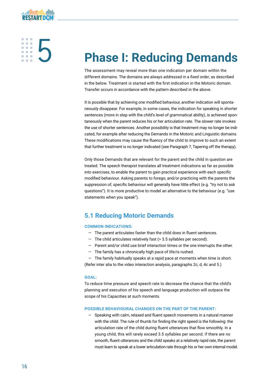<span id="page-14-0"></span>

**░5**

# **Phase I: Reducing Demands**

The assessment may reveal more than one indication per domain within the different domains. The domains are *always addressed in a fixed order*, as described in the below. Treatment is started with the first indication in the Motoric domain. Transfer occurs in accordance with the pattern described in the above.

It is possible that by achieving one modified behaviour, another indication will spontaneously disappear. For example, in some cases, the indication for speaking in shorter sentences (more in step with the child's level of grammatical ability), is achieved spontaneously when the parent reduces his or her articulation rate. The slower rate invokes the use of shorter sentences. Another possibility is that treatment may no longer be indicated, for example after reducing the Demands in the Motoric and Linguistic domains. These modifications may cause the fluency of the child to improve to such an extent that further treatment is no longer indicated (see Paragraph 7, Tapering off the therapy).

Only those Demands that are relevant for the parent and the child in question are treated. The speech therapist translates all treatment indications as far as possible into exercises, to enable the parent to gain practical experience with each specific modified behaviour. Asking parents to forego, and/or practicing with the parents the suppression of, specific behaviour will generally have little effect (e.g. "try not to ask questions"). It is more productive to model an alternative to the behaviour (e.g. "use statements when you speak").

### **5.1 Reducing Motoric Demands**

### **COMMON INDICATIONS:**

- The parent articulates faster than the child does in fluent sentences.
- The child articulates relatively fast (> 3.5 syllables per second).
- Parent and/or child use brief interaction times or the one interrupts the other.
- The family has a chronically high pace of life/is rushed.

— The family habitually speaks at a rapid pace at moments when time is short. (Refer inter alia to the video interaction analysis, paragraphs 2c, d, 4c and 5.)

### **GOAL:**

To reduce time pressure and speech rate to decrease the chance that the child's planning and execution of his speech and language production will outpace the scope of his Capacities at such moments.

### **POSSIBLE BEHAVIOURAL CHANGES ON THE PART OF THE PARENT:**

— Speaking with calm, relaxed and fluent speech movements in a natural manner with the child. The rule of thumb for finding the right speed is the following: the articulation rate of the child during fluent utterances that flow smoothly. In a young child, this will rarely exceed 3.5 syllables per second. If there are no smooth, fluent utterances and the child speaks at a relatively rapid rate, the parent must learn to speak at a lower articulation rate through his or her own internal model.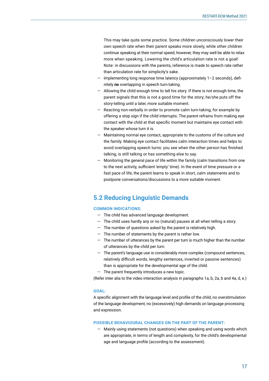<span id="page-15-0"></span>This may take quite some practice. Some children unconsciously lower their own speech rate when their parent speaks more slowly, while other children continue speaking at their normal speed; however, they may well be able to relax more when speaking. Lowering the child's articulation rate is not a goal! Note: in discussions with the parents, reference is made to speech rate rather than articulation rate for simplicity's sake.

- Implementing long response time latency (approximately 1–2 seconds), definitely **no** overlapping in speech turn-taking.
- Allowing the child enough time to tell his story. If there is not enough time, the parent signals that this is not a good time for the story; he/she puts off the story-telling until a later, more suitable moment.
- Reacting non-verbally in order to promote calm turn-taking, for example by offering a stop sign if the child interrupts. The parent refrains from making eye contact with the child at that specific moment but maintains eye contact with the speaker whose turn it is.
- Maintaining normal eye contact, appropriate to the customs of the culture and the family. Making eye contact facilitates calm interaction times and helps to avoid overlapping speech turns: you see when the other person has finished talking, is still talking or has something else to say.
- Monitoring the general pace of life within the family (calm transitions from one to the next activity, sufficient 'empty' time). In the event of time pressure or a fast pace of life, the parent learns to speak in short, calm statements and to postpone conversations/discussions to a more suitable moment.

### **5.2 Reducing Linguistic Demands**

### **COMMON INDICATIONS:**

- The child has advanced language development.
- The child uses hardly any or no (natural) pauses at all when telling a story.
- The number of questions asked by the parent is relatively high.
- The number of statements by the parent is rather low.
- The number of utterances by the parent per turn is much higher than the number of utterances by the child per turn.
- The parent's language use is considerably more complex (compound sentences, relatively difficult words, lengthy sentences, inverted or passive sentences) than is appropriate for the developmental age of the child.
- The parent frequently introduces a new topic.

(Refer inter alia to the video interaction analysis in paragraphs 1a, b, 2a, b and 4a, d, e.)

### **GOAL:**

A specific alignment with the language level and profile of the child, no overstimulation of the language development, no (excessively) high demands on language processing and expression.

### **POSSIBLE BEHAVIOURAL CHANGES ON THE PART OF THE PARENT:**

— Mainly using statements (not questions) when speaking and using words which are appropriate, in terms of length and complexity, for the child's developmental age and language profile (according to the assessment).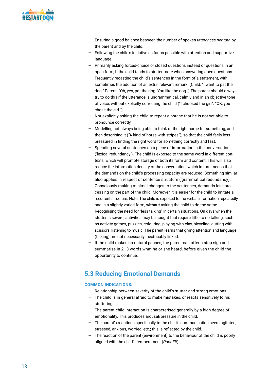- <span id="page-16-0"></span>— Ensuring a good balance between the number of spoken *utterances per turn* by the parent and by the child.
- Following the child's initiative as far as possible with attention and supportive language.
- Primarily asking forced-choice or closed questions instead of questions in an open form, if the child tends to stutter more when answering open questions.
- Frequently recasting the child's sentences in the form of a statement, with sometimes the addition of an extra, relevant remark. (Child: "I want to pat the dog." Parent: "Oh, yes, pat the dog. You like the dog.") The parent should always try to do this if the utterance is ungrammatical, calmly and in an objective tone of voice, without explicitly correcting the child ("I choosed the girl". "OK, you chose the girl.").
- Not explicitly asking the child to repeat a phrase that he is not yet able to pronounce correctly.
- Modelling not always being able to think of the right name for something, and then describing it ("A kind of horse with stripes"), so that the child feels less pressured in finding the right word for something correctly and fast.
- Spending several sentences on a piece of information in the conversation ('lexical redundancy'). The child is exposed to the same word in different contexts, which will promote storage of both its form and content. This will also reduce the information density of the conversation, which in turn means that the demands on the child's processing capacity are reduced. Something similar also applies in respect of sentence structure ('grammatical redundancy). Consciously making minimal changes to the sentences, demands less processing on the part of the child. Moreover, it is easier for the child to imitate a recurrent structure. Note: The child is exposed to the verbal information repeatedly and in a slightly varied form, **without** asking the child to do the same.
- Recognising the need for "less talking" in certain situations. On days when the stutter is severe, activities may be sought that require little to no talking, such as activity games, puzzles, colouring, playing with clay, bicycling, cutting with scissors, listening to music. The parent learns that giving attention and language (talking) are not necessarily inextricably linked.
- If the child makes no natural pauses, the parent can offer a stop sign and summarise in 2–3 words what he or she heard, before given the child the opportunity to continue.

### **5.3 Reducing Emotional Demands**

### **COMMON INDICATIONS:**

- Relationship between severity of the child's stutter and strong emotions.
- The child is in general afraid to make mistakes, or reacts sensitively to his stuttering.
- The parent-child interaction is characterised generally by a high degree of emotionality. This produces arousal/pressure in the child.
- The parent's reactions specifically to the child's communication seem agitated, stressed, anxious, worried, etc.; this is reflected by the child.
- The reaction of the parent (environment) to the behaviour of the child is poorly aligned with the child's temperament (*Poor Fit*).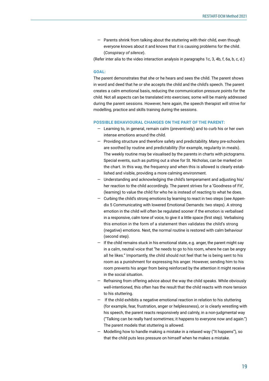— Parents shrink from talking about the stuttering with their child, even though everyone knows about it and knows that it is causing problems for the child. (*Conspiracy of silence*).

(Refer inter alia to the video interaction analysis in paragraphs 1c, 3, 4b, f, 6a, b, c, d.)

### **GOAL:**

The parent demonstrates that she or he hears and sees the child. The parent shows in word and deed that he or she accepts the child and the child's speech. The parent creates a calm emotional basis, reducing the communication pressure points for the child. Not all aspects can be translated into exercises; some will be mainly addressed during the parent sessions. However, here again, the speech therapist will strive for modelling, practice and skills training during the sessions.

### **POSSIBLE BEHAVIOURAL CHANGES ON THE PART OF THE PARENT:**

- Learning to, in general, remain calm (preventively) and to curb his or her own intense emotions around the child.
- Providing structure and therefore safety and predictability. Many pre-schoolers are soothed by routine and predictability (for example, regularity in meals). The weekly routine may be visualised by the parents in charts with pictograms. Special events, such as putting out a shoe for St. Nicholas, can be marked on the chart. In this way, the frequency and when this is allowed is clearly established and visible, providing a more calming environment.
- Understanding and acknowledging the child's temperament and adjusting his/ her reaction to the child accordingly. The parent strives for a 'Goodness of Fit', (learning) to value the child for who he is instead of reacting to what he does.
- Curbing the child's strong emotions by learning to react in two steps (see Appendix 5 Communicating with lowered Emotional Demands: two steps). A strong emotion in the child will often be regulated sooner if the emotion is verbalised in a responsive, calm tone of voice, to give it a little space (first step). Verbalising this emotion in the form of a statement then validates the child's strong (negative) emotions. Next, the normal routine is restored with calm behaviour (second step).
- If the child remains stuck in his emotional state, e.g. anger, the parent might say in a calm, neutral voice that "he needs to go to his room, where he can be angry all he likes." Importantly, the child should not feel that he is being sent to his room as a punishment for expressing his anger. However, sending him to his room prevents his anger from being reinforced by the attention it might receive in the social situation.
- Refraining from offering advice about the way the child speaks. While obviously well-intentioned, this often has the result that the child reacts with more tension to his stuttering.
- If the child exhibits a negative emotional reaction in relation to his stuttering (for example, fear, frustration, anger or helplessness), or is clearly wrestling with his speech, the parent reacts responsively and calmly, in a non-judgmental way ("Talking can be really hard sometimes; it happens to everyone now and again.") The parent models that stuttering is allowed.
- Modelling how to handle making a mistake in a relaxed way ("It happens"), so that the child puts less pressure on himself when he makes a mistake.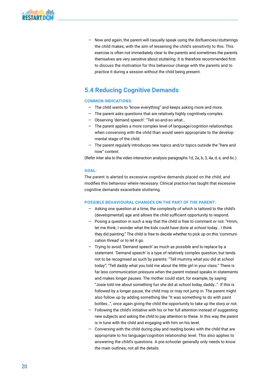<span id="page-18-0"></span>— Now and again, the parent will casually speak using the disfluencies/stutterings the child makes, with the aim of lessening the child's sensitivity to this. This exercise is often not immediately clear to the parents and sometimes the parents themselves are very sensitive about stuttering. It is therefore recommended first to discuss the motivation for this behaviour change with the parents and to practice it during a session without the child being present.

### **5.4 Reducing Cognitive Demands**

### **COMMON INDICATIONS:**

- The child wants to "know everything" and keeps asking more and more.
- The parent asks questions that are relatively highly cognitively complex.
- Observing 'demand speech': "Tell so-and-so what…
- The parent applies a more complex level of language/cognition relationships when conversing with the child than would seem appropriate to the developmental stage of the child.
- The parent regularly introduces new topics and/or topics outside the "here and now" context.

(Refer inter alia to the video interaction analysis paragraphs 1d, 2a, b, 3, 4a, d, e, and 6c.)

### **GOAL:**

The parent is alerted to excessive cognitive demands placed on the child, and modifies this behaviour where necessary. Clinical practice has taught that excessive cognitive demands exacerbate stuttering.

### **POSSIBLE BEHAVIOURAL CHANGES ON THE PART OF THE PARENT:**

- Asking one question at a time, the complexity of which is tailored to the child's (developmental) age and allows the child sufficient opportunity to respond.
- Posing a question in such a way that the child is free to comment or not: "Hmm, let me think, I wonder what the kids could have done at school today… I think they did painting." The child is free to decide whether to pick up on this 'communication thread' or to let it go.
- Trying to avoid 'Demand speech' as much as possible and to replace by a statement. 'Demand speech' is a type of relatively complex question, but tends not to be recognised as such by parents: "Tell mummy what you did at school today"; "Tell daddy what you told me about the little girl in your class." There is far less communication pressure when the parent instead speaks in statements and makes longer pauses. The mother could start, for example, by saying: "Josie told me about something fun she did at school today, daddy…". If this is followed by a longer pause, the child may or may not jump in. The parent might also follow up by adding something like "It was something to do with paint bottles…", once again giving the child the opportunity to take up the story or not.
- Following the child's initiative with his or her full attention instead of suggesting new subjects and asking the child to pay attention to these. In this way, the parent is in tune with the child and engaging with him on his level.
- Conversing with the child during play and reading books with the child that are appropriate to his language/cognition relationship level. This also applies to answering the child's questions. A pre-schooler generally only needs to know the main outlines, not all the details.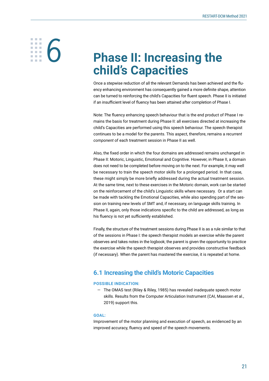# <span id="page-19-0"></span>**░6**

## **Phase II: Increasing the child's Capacities**

Once a stepwise reduction of all the relevant Demands has been achieved and the fluency enhancing environment has consequently gained a more definite shape, attention can be turned to reinforcing the child's Capacities for fluent speech. Phase II is initiated if an insufficient level of fluency has been attained after completion of Phase I.

Note: The fluency enhancing speech behaviour that is the end product of Phase I remains the basis for treatment during Phase II: all exercises directed at increasing the child's Capacities are performed using this speech behaviour. The speech therapist continues to be a model for the parents. This aspect, therefore, remains a *recurrent component* of each treatment session in Phase II as well.

Also, the fixed order in which the four domains are addressed remains unchanged in Phase II: Motoric, Linguistic, Emotional and Cognitive. However, in Phase II, a domain does not need to be completed before moving on to the next. For example, it may well be necessary to train the speech motor skills for a prolonged period. In that case, these might simply be more briefly addressed during the actual treatment session. At the same time, next to these exercises in the Motoric domain, work can be started on the reinforcement of the child's Linguistic skills where necessary. Or a start can be made with tackling the Emotional Capacities, while also spending part of the session on training new levels of SMT and, if necessary, on language skills training. In Phase II, again, only those indications specific to the child are addressed, as long as his fluency is not yet sufficiently established.

Finally, the structure of the treatment sessions during Phase II is as a rule similar to that of the sessions in Phase I: the speech therapist models an exercise while the parent observes and takes notes in the logbook; the parent is given the opportunity to practice the exercise while the speech therapist observes and provides constructive feedback (if necessary). When the parent has mastered the exercise, it is repeated at home.

### **6.1 Increasing the child's Motoric Capacities**

### **POSSIBLE INDICATION:**

— The OMAS test (Riley & Riley, 1985) has revealed inadequate speech motor skills. Results from the Computer Articulation Instrument (CAI, Maassen et al., 2019) support this.

### **GOAL:**

Improvement of the motor planning and execution of speech, as evidenced by an improved accuracy, fluency and speed of the speech movements.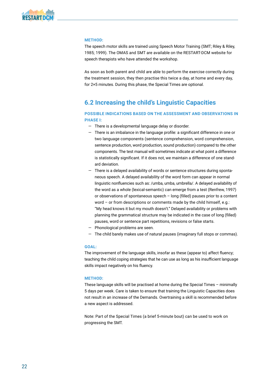### <span id="page-20-0"></span>**METHOD:**

The speech motor skills are trained using Speech Motor Training (SMT; Riley & Riley, 1985; 1999). The OMAS and SMT are available on the RESTART-DCM website for speech therapists who have attended the workshop.

As soon as both parent and child are able to perform the exercise correctly during the treatment session, they then practise this twice a day, at home and every day, for 2×5 minutes. During this phase, the Special Times are optional.

### **6.2 Increasing the child's Linguistic Capacities**

### **POSSIBLE INDICATIONS BASED ON THE ASSESSMENT AND OBSERVATIONS IN PHASE I:**

- There is a developmental language delay or disorder.
- There is an imbalance in the language profile: a significant difference in one or two language components (sentence comprehension, word comprehension, sentence production, word production, sound production) compared to the other components. The test manual will sometimes indicate at what point a difference is statistically significant. If it does not, we maintain a difference of one standard deviation.
- There is a delayed availability of words or sentence structures during spontaneous speech. A delayed availability of the word form can appear in normal linguistic nonfluencies such as: /umba, umba, umbrella/. A delayed availability of the word as a whole (lexical-semantic) can emerge from a test (Renfrew, 1997) or observations of spontaneous speech – long (filled) pauses prior to a content word – or from descriptions or comments made by the child himself, e.g.: "My head knows it but my mouth doesn't." Delayed availability or problems with planning the grammatical structure may be indicated in the case of long (filled) pauses, word or sentence part repetitions, revisions or false starts.
- Phonological problems are seen.
- The child barely makes use of natural pauses (imaginary full stops or commas).

### **GOAL:**

The improvement of the language skills, insofar as these (appear to) affect fluency; teaching the child coping strategies that he can use as long as his insufficient language skills impact negatively on his fluency.

### **METHOD:**

These language skills will be practised at home during the Special Times – minimally 5 days per week. Care is taken to ensure that training the Linguistic Capacities does not result in an increase of the Demands. Overtraining a skill is recommended before a new aspect is addressed.

Note: Part of the Special Times (a brief 5-minute bout) can be used to work on progressing the SMT.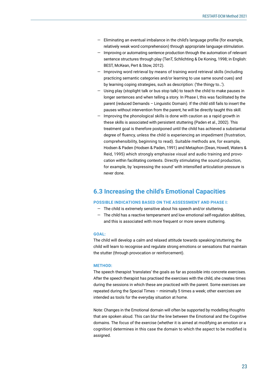- <span id="page-21-0"></span>— Eliminating an eventual imbalance in the child's language profile (for example, relatively weak word comprehension) through appropriate language stimulation.
- Improving or automating sentence production through the automation of relevant sentence structures through play (TenT, Schlichting & De Koning, 1998; in English: BEST, McKean, Pert & Stow, 2012).
- Improving word retrieval by means of training word retrieval skills (including practicing semantic categories and/or learning to use same sound cues) and by learning coping strategies, such as description: ('the thingy to…').
- Using play (stoplight talk or bus stop talk) to teach the child to make pauses in longer sentences and when telling a story. In Phase I, this was facilitated by the parent (reduced Demands – Linguistic Domain). If the child still fails to insert the pauses without intervention from the parent, he will be directly taught this skill.
- Improving the phonological skills is done with caution as a rapid growth in these skills is associated with persistent stuttering (Paden et al., 2002). This treatment goal is therefore postponed until the child has achieved a substantial degree of fluency, unless the child is experiencing an impediment (frustration, comprehensibility, beginning to read). Suitable methods are, for example, Hodsen & Paden (Hodsen & Paden, 1991) and Metaphon (Dean, Howell, Waters & Reid, 1995) which strongly emphasise visual and audio training and provocation within facilitating contexts. Directly stimulating the sound production, for example, by 'expressing the sound' with intensified articulation pressure is never done.

### **6.3 Increasing the child's Emotional Capacities**

### **POSSIBLE INDICATIONS BASED ON THE ASSESSMENT AND PHASE I:**

- The child is extremely sensitive about his speech and/or stuttering.
- The child has a reactive temperament and low emotional self-regulation abilities, and this is associated with more frequent or more severe stuttering.

### **GOAL:**

The child will develop a calm and relaxed attitude towards speaking/stuttering; the child will learn to recognise and regulate strong emotions or sensations that maintain the stutter (through provocation or reinforcement).

### **METHOD:**

The speech therapist 'translates' the goals as far as possible into concrete exercises. After the speech therapist has practised the exercises with the child, she creates times during the sessions in which these are practiced with the parent. Some exercises are repeated during the Special Times – minimally 5 times a week; other exercises are intended as tools for the everyday situation at home.

Note: Changes in the Emotional domain will often be supported by modelling *thoughts* that are spoken aloud. This can blur the line between the Emotional and the Cognitive domains. The *focus* of the exercise (whether it is aimed at modifying an emotion or a cognition) determines in this case the domain to which the aspect to be modified is assigned.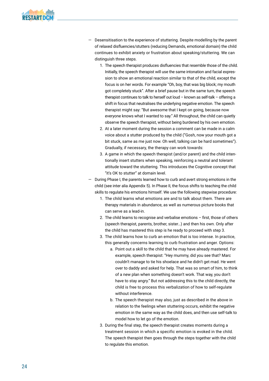- Desensitisation to the experience of stuttering. Despite modelling by the parent of relaxed disfluencies/stutters (reducing Demands, emotional domain) the child continues to exhibit anxiety or frustration about speaking/stuttering. We can distinguish three steps.
	- 1. The speech therapist produces disfluencies that resemble those of the child. Initially, the speech therapist will use the same intonation and facial expression to show an emotional reaction similar to that of the child, except the focus is on her words. For example "Oh, boy, that was big block; my mouth got completely stuck". After a brief pause but in the same turn, the speech therapist continues to talk to herself out loud – known as self-talk – offering a shift in focus that neutralises the underlying negative emotion. The speech therapist might say: "But awesome that I kept on going, because now everyone knows what I wanted to say." All throughout, the child can quietly observe the speech therapist, without being burdened by his own emotion.
	- 2. At a later moment during the session a comment can be made in a calm voice about a stutter produced by the child ("Gosh, now your mouth got a bit stuck, same as me just now. Oh well, talking can be hard sometimes"). Gradually, if necessary, the therapy can work towards:
	- 3. A game in which the speech therapist (and/or parent) and the child intentionally insert stutters when speaking, reinforcing a neutral and tolerant attitude toward the stuttering. This introduces the Cognitive concept that "it's OK to stutter" at domain level.
- During Phase I, the parents learned how to curb and avert strong emotions in the child (see inter alia Appendix 5). In Phase II, the focus shifts to teaching the child skills to regulate his emotions himself. We use the following stepwise procedure:
	- 1. The child learns what emotions are and to talk about them. There are therapy materials in abundance, as well as numerous picture books that can serve as a lead-in.
	- 2. The child learns to recognise and verbalise emotions first, those of others (speech therapist, parents, brother, sister…) and then his own. Only after the child has mastered this step is he ready to proceed with step 3.
	- 3. The child learns how to curb an emotion that is too intense. In practice, this generally concerns learning to curb frustration and anger. Options:
		- a. Point out a skill to the child that he may have already mastered. For example, speech therapist: "Hey mummy, did you see that? Marc couldn't manage to tie his shoelace and he didn't get mad. He went over to daddy and asked for help. That was so smart of him, to think of a new plan when something doesn't work. That way, you don't have to stay angry." But not addressing this to the child directly, the child is free to process this verbalization of how to self-regulate without interference.
		- b. The speech therapist may also, just as described in the above in relation to the feelings when stuttering occurs, exhibit the negative emotion in the same way as the child does, and then use self-talk to model how to let go of the emotion.
	- 3. During the final step, the speech therapist creates moments during a treatment session in which a specific emotion is evoked in the child. The speech therapist then goes through the steps together with the child to regulate this emotion.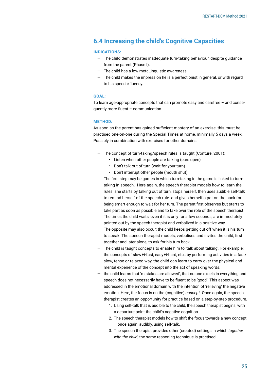### <span id="page-23-0"></span>**6.4 Increasing the child's Cognitive Capacities**

### **INDICATIONS:**

- The child demonstrates inadequate turn-taking behaviour, despite guidance from the parent (Phase I).
- The child has a low metaLinguistic awareness.
- The child makes the impression he is a perfectionist in general, or with regard to his speech/fluency.

### **GOAL:**

To learn age-appropriate concepts that can promote easy and carefree – and consequently more fluent – communication.

### **METHOD:**

As soon as the parent has gained sufficient mastery of an exercise, this must be practised one-on-one during the Special Times at home, minimally 5 days a week. Possibly in combination with exercises for other domains.

- The concept of turn-taking/speech rules is taught (Conture, 2001):
	- Listen when other people are talking (ears open)
	- Don't talk out of turn (wait for your turn)
	- Don't interrupt other people (mouth shut)

The first step may be games in which turn-taking in the game is linked to turntaking in speech. Here again, the speech therapist models how to learn the rules: she starts by talking out of turn, stops herself, then uses audible self-talk to remind herself of the speech rule and gives herself a pat on the back for being smart enough to wait for her turn. The parent first observes but starts to take part as soon as possible and to take over the role of the speech therapist. The times the child waits, even if it is only for a few seconds, are immediately pointed out by the speech therapist and verbalized in a positive way. The opposite may also occur: the child keeps getting cut off when it is his turn to speak. The speech therapist models, verbalises and invites the child, first together and later alone, to ask for his turn back.

- The child is taught concepts to enable him to 'talk about talking'. For example: the concepts of slow  $\leftrightarrow$  fast, easy  $\leftrightarrow$  hard, etc.: by performing activities in a fast/ slow, tense or relaxed way, the child can learn to carry over the physical and mental experience of the concept into the act of speaking words.
- the child learns that 'mistakes are allowed', that no one excels in everything and speech does not necessarily have to be fluent to be 'good'. This aspect was addressed in the emotional domain with the intention of 'relieving' the negative emotion. Here, the focus is on the (cognitive) *concept*. Once again, the speech therapist creates an opportunity for practice based on a step-by-step procedure.
	- 1. Using self-talk that is audible to the child, the speech therapist begins, with a departure point the child's negative cognition.
	- 2. The speech therapist models how to shift the focus towards a new concept – once again, audibly, using self-talk.
	- 3. The speech therapist provides other (created) settings in which *together with the child*, the same reasoning technique is practised.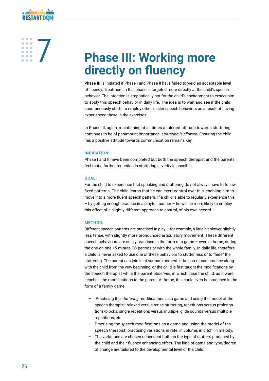# <span id="page-24-0"></span>**EXECUTE:** Phase III: Working more **directly on fluency**

**Phase III** is initiated if Phase I and Phase II have failed to yield an acceptable level of fluency. Treatment in this phase is targeted more directly at the child's speech behavior. The intention is emphatically not for the child's environment to *expect* him to apply this speech behavior in daily life. The idea is to wait and see if the child spontaneously starts to employ other, easier speech behaviors as a result of having experienced these in the exercises.

In Phase III, again, maintaining at all times a tolerant attitude towards stuttering continues to be of paramount importance: *stuttering is allowed!* Ensuring the child has a positive attitude towards communication remains key.

### **INDICATION:**

Phase I and II have been completed but both the speech therapist and the parents feel that a further reduction in stuttering severity is possible.

### **GOAL:**

For the child to experience that speaking and stuttering do not always have to follow fixed patterns. The child learns that he can exert control over this, enabling him to move into a more fluent speech pattern. If a child is able to regularly experience this – by getting enough practice in a playful manner – he will be more likely to employ this effect of a slightly different approach to control, of his own accord.

### **METHOD:**

Different speech patterns are practised in play – for example, a little bit slower, slightly less tense, with slightly more pronounced articulatory movement. These different speech behaviours are solely practised in the form of a game – even at home, during the one-on-one 15-minute PC periods or with the whole family. In daily life, therefore, a child is never asked to use one of these behaviors to stutter less or to "hide" the stuttering. The parent can join in at various moments: the parent can practice along with the child from the very beginning, or the child is first taught the modifications by the speech therapist while the parent observes, in which case the child, as it were, 'teaches' the modifications to the parent. At home, this could even be practiced in the form of a family game.

- Practising the *stuttering* modifications as a game and using the model of the speech therapist: relaxed versus tense stuttering, repetitions versus prolongations/blocks, single repetitions versus multiple, glide sounds versus multiple repetitions, etc.
- Practising the *speech* modifications as a game and using the model of the speech therapist: practising variations in rate, in volume, in pitch, in melody.
- The variations are chosen dependent both on the type of stutters produced by the child and their fluency enhancing effect. The kind of game and type/degree of change are tailored to the developmental level of the child.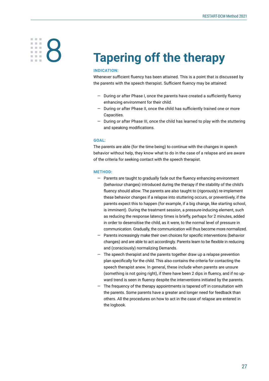# <span id="page-25-0"></span>**S**<br>**EXECUTE:** Tapering off the therapy

### **INDICATION:**

Whenever sufficient fluency has been attained. This is a point that is discussed by the parents with the speech therapist. Sufficient fluency may be attained:

- During or after Phase I, once the parents have created a sufficiently fluency enhancing environment for their child.
- During or after Phase II, once the child has sufficiently trained one or more Capacities.
- During or after Phase III, once the child has learned to play with the stuttering and speaking modifications.

### **GOAL:**

The parents are able (for the time being) to continue with the changes in speech behavior without help, they know what to do in the case of a relapse and are aware of the criteria for seeking contact with the speech therapist.

### **METHOD:**

- Parents are taught to gradually fade out the fluency enhancing environment (behaviour changes) introduced during the therapy if the stability of the child's fluency should allow. The parents are also taught to (rigorously) re-implement these behavior changes if a relapse into stuttering occurs, or preventively, if the parents expect this to happen (for example, if a big change, like starting school, is imminent). During the treatment session, a pressure-inducing element, such as reducing the response latency times is briefly, perhaps for 2 minutes, added in order to desensitise the child, as it were, to the normal level of pressure in communication. Gradually, the communication will thus become more normalized.
- Parents increasingly make their own choices for specific interventions (behavior changes) and are able to act accordingly. Parents learn to be flexible in reducing and (consciously) normalizing Demands.
- The speech therapist and the parents together draw up a relapse prevention plan specifically for the child. This also contains the criteria for contacting the speech therapist anew. In general, these include when parents are unsure (something is not going right), if there have been 2 dips in fluency, and if no upward trend is seen in fluency despite the interventions initiated by the parents.
- The frequency of the therapy appointments is tapered off in consultation with the parents. Some parents have a greater and longer need for feedback than others. All the procedures on how to act in the case of relapse are entered in the logbook.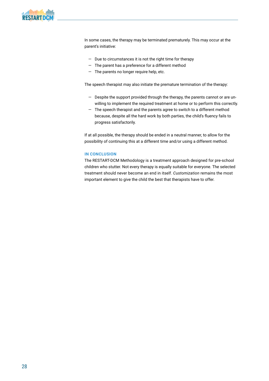

In some cases, the therapy may be terminated prematurely. This may occur at the parent's initiative:

- Due to circumstances it is not the right time for therapy
- The parent has a preference for a different method
- The parents no longer require help, etc.

The speech therapist may also initiate the premature termination of the therapy:

- Despite the support provided through the therapy, the parents cannot or are unwilling to implement the required treatment at home or to perform this correctly.
- The speech therapist and the parents agree to switch to a different method because, despite all the hard work by both parties, the child's fluency fails to progress satisfactorily.

If at all possible, the therapy should be ended in a neutral manner, to allow for the possibility of continuing this at a different time and/or using a different method.

### **IN CONCLUSION**

The RESTART-DCM Methodology is a treatment approach designed for pre-school children who stutter. Not every therapy is equally suitable for everyone. The selected treatment should never become an end in itself. *Customization* remains the most important element to give the child the best that therapists have to offer.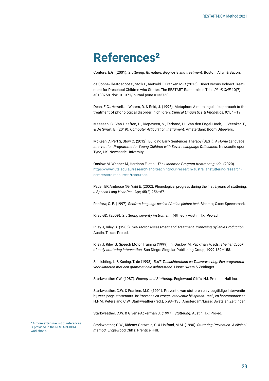## <span id="page-27-0"></span>**References²**

Conture, E.G. (2001). *Stuttering. Its nature, diagnosis and treatment.* Boston: Allyn & Bacon.

de Sonneville-Koedoot C, Stolk E, Rietveld T, Franken M-C (2015). Direct versus Indirect Treatment for Preschool Children who Stutter: The RESTART Randomized Trial. *PLoS ONE* 10(7): e0133758. doi:10.1371/journal.pone.0133758.

Dean, E.C., Howell, J. Waters, D. & Reid, J. (1995). Metaphon: A metalinguistic approach to the treatment of phonological disorder in children. *Clinical Linguistics & Phonetics*, 9:1, 1–19.

Maassen, B., Van Haaften, L., Diepeveen, S., Terband, H., Van den Engel-Hoek, L., Veenker, T., & De Swart, B. (2019). *Computer Articulation Instrument.* Amsterdam: Boom Uitgevers.

McKean C, Pert S, Stow C. (2012). Building Early Sentences Therapy (BEST): *A Home Language Intervention Programme for Young Children with Severe Language Difficulties.* Newcastle upon Tyne, UK: Newcastle University.

Onslow M, Webber M, Harrison E, et al. *The Lidcombe Program treatment guide.* (2020). [https://www.uts.edu.au/research-and-teaching/our-research/australianstuttering-research](https://www.uts.edu.au/research-and-teaching/our-research/australianstuttering-research-centre/asrc-resources/resources)[centre/asrc-resources/resources](https://www.uts.edu.au/research-and-teaching/our-research/australianstuttering-research-centre/asrc-resources/resources).

Paden EP, Ambrose NG, Yairi E. (2002). Phonological progress during the first 2 years of stuttering. *J Speech Lang Hear Res*. Apr; 45(2):256–67.

Renfrew, C. E. (1997). *Renfrew language scales / Action picture test*. Bicester, Oxon: Speechmark.

Riley GD. (2009). *Stuttering severity instrument.* (4th ed.) Austin, TX: Pro-Ed.

Riley J, Riley G. (1985). *Oral Motor Assessment and Treatment. Improving Syllable Production.*  Austin, Texas: Pro-ed.

Riley J, Riley G. Speech Motor Training (1999). In: Onslow M, Packman A, eds. *The handbook of early stuttering intervention.* San Diego: Singular Publishing Group; 1999:139–158.

Schlichting, L. & Koning, T. de (1998). *TenT. Taalachterstand en Taalverwerving. Een programma voor kinderen met een grammaticale achterstand.* Lisse: Swets & Zeitlinger.

Starkweather CW. (1987). *Fluency and Stuttering.* Englewood Cliffs, NJ: Prentice-Hall Inc.

Starkweather, C.W. & Franken, M.C. (1991). Preventie van stotteren en vroegtijdige interventie bij zeer jonge stotteraars. In: *Preventie en vroege interventie bij spraak-, taal-, en hoorstoornissen.* H.F.M. Peters and C.W. Starkweather (red.), p.93–135. Amsterdam/Lisse: Swets en Zeitlinger.

Starkweather, C.W. & Givens-Ackerman J. (1997). *Stuttering.* Austin, TX: Pro-ed.

² A more extensive list of references is provided in the RESTART-DCM workshops.

Starkweather, C.W., Ridener Gottwald, S. & Halfond, M.M. (1990). *Stuttering Prevention. A clinical method.* Englewood Cliffs: Prentice Hall.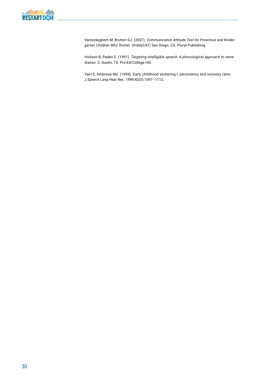Vanryckeghem M, Brutten GJ. (2007). *Communication Attitude Test for Preschool and Kindergarten Children Who Stutter*. (KiddyCAT) San Diego, CA: Plural Publishing.

Hodson B, Paden E. (1991). *Targeting intelligible speech: A phonological approach to remediation.* 2. Austin, TX: Pro-Ed/College Hill.

Yairi E, Ambrose NG. (1999). Early childhood stuttering I: persistency and recovery rates. *J Speech Lang Hear Res.* 1999;42(5):1097–1112.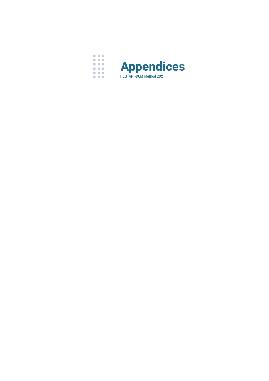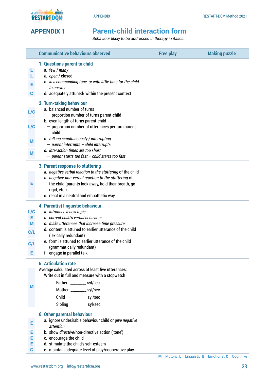<span id="page-30-0"></span>



### **APPENDIX 1 Parent-child interaction form**

*Behaviour likely to be addressed in therapy in italics.*

|                                   | <b>Communicative behaviours observed</b>                                                                                                                                                                                                                                                                                                                                                          | <b>Free play</b> | <b>Making puzzle</b> |
|-----------------------------------|---------------------------------------------------------------------------------------------------------------------------------------------------------------------------------------------------------------------------------------------------------------------------------------------------------------------------------------------------------------------------------------------------|------------------|----------------------|
| L.<br>L<br>Е<br>C                 | 1. Questions parent to child<br>a. few / many<br>b. open / closed<br>c. in a commanding tone, or with little time for the child<br>to answer<br>d. adequately attuned/ within the present context                                                                                                                                                                                                 |                  |                      |
| L/C<br>L/C<br>M<br>M              | 2. Turn-taking behaviour<br>a. balanced number of turns<br>- proportion number of turns parent-child<br>b. even length of turns parent-child<br>- proportion number of utterances per turn parent-<br>child<br>c. talking simultaneously / interrupting<br>$-$ parent interrupts - child interrupts<br>d. interaction times are too short<br>$-$ parent starts too fast $-$ child starts too fast |                  |                      |
| Е                                 | 3. Parent response to stuttering<br>a. negative verbal reaction to the stuttering of the child<br>b. negative non-verbal reaction to the stuttering of<br>the child (parents look away, hold their breath, go<br>rigid, etc.)<br>c. react in a neutral and empathetic way                                                                                                                         |                  |                      |
| L/C<br>Е<br>M<br>C/L<br>C/L<br>Е, | 4. Parent(s) linguistic behaviour<br>a. introduce a new topic<br>b. correct child's verbal behaviour<br>c. make utterances that increase time pressure<br>d. content is attuned to earlier utterance of the child<br>(lexically redundant)<br>e. form is attuned to earlier utterance of the child<br>(grammatically redundant)<br>f. engage in parallel talk                                     |                  |                      |
| м                                 | <b>5. Articulation rate</b><br>Average calculated across at least five utterances:<br>Write out in full and measure with a stopwatch<br>Father __________ syl/sec<br>Mother _________ syl/sec<br>Child<br>$\frac{1}{2}$ syl/sec<br>Sibling __________ syl/sec                                                                                                                                     |                  |                      |
| Е<br>Е<br>Е<br>Е<br>$\mathbf c$   | <b>6. Other parental behaviour</b><br>a. ignore undesirable behaviour child or give negative<br>attention<br>b. show directive/non-directive action ('tone')<br>c. encourage the child<br>d. stimulate the child's self-esteem<br>e. maintain adequate level of play/cooperative play                                                                                                             |                  |                      |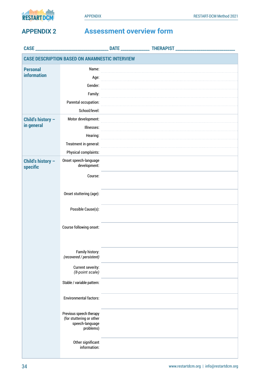<span id="page-31-0"></span>

### **APPENDIX 2 Assessment overview form**

| CASE_                         |                                                                                     | <b>DATE</b> |  |
|-------------------------------|-------------------------------------------------------------------------------------|-------------|--|
|                               | <b>CASE DESCRIPTION BASED ON ANAMNESTIC INTERVIEW</b>                               |             |  |
| <b>Personal</b>               | Name:                                                                               |             |  |
| <b>information</b>            | Age:                                                                                |             |  |
|                               | Gender:                                                                             |             |  |
|                               | Family:                                                                             |             |  |
|                               | Parental occupation:                                                                |             |  |
|                               | School/level:                                                                       |             |  |
| Child's history -             | Motor development:                                                                  |             |  |
| in general                    | Illnesses:                                                                          |             |  |
|                               | Hearing:                                                                            |             |  |
|                               | Treatment in general:                                                               |             |  |
|                               | Physical complaints:                                                                |             |  |
| Child's history -<br>specific | Onset speech-language<br>development:                                               |             |  |
|                               | Course:                                                                             |             |  |
|                               | Onset stuttering (age):                                                             |             |  |
|                               | Possible Cause(s):                                                                  |             |  |
|                               | Course following onset:                                                             |             |  |
|                               | Family history:<br>(recovered / persistent)                                         |             |  |
|                               | Current severity:<br>(8-point scale)                                                |             |  |
|                               | Stable / variable pattern:                                                          |             |  |
|                               | <b>Environmental factors:</b>                                                       |             |  |
|                               | Previous speech therapy<br>(for stuttering or other<br>speech-language<br>problems) |             |  |
|                               | Other significant<br>information:                                                   |             |  |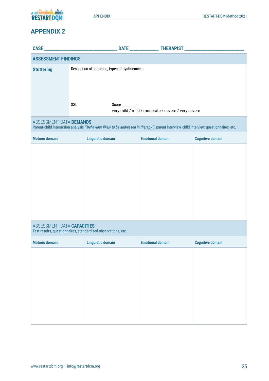

### **APPENDIX 2**

| <b>ASSESSMENT FINDINGS</b>                                                                                                                                            |                                                                                |                          |                                                    |                         |
|-----------------------------------------------------------------------------------------------------------------------------------------------------------------------|--------------------------------------------------------------------------------|--------------------------|----------------------------------------------------|-------------------------|
| <b>Stuttering</b>                                                                                                                                                     | Description of stuttering, types of dysfluencies:                              |                          |                                                    |                         |
|                                                                                                                                                                       | SSI:                                                                           | Score _______ =          | very mild / mild / moderate / severe / very severe |                         |
| ASSESSMENT DATA DEMANDS<br>Parent-child interaction analysis ("behaviour likely to be addressed in therapy"), parent interview, child interview, questionnaires, etc. |                                                                                |                          |                                                    |                         |
| <b>Motoric domain</b>                                                                                                                                                 | <b>Linguistic domain</b><br><b>Emotional domain</b><br><b>Cognitive domain</b> |                          |                                                    |                         |
| ASSESSMENT DATA CAPACITIES                                                                                                                                            |                                                                                |                          |                                                    |                         |
| Test results, questionnaires, standardized observations, etc.                                                                                                         |                                                                                |                          |                                                    |                         |
| <b>Motoric domain</b>                                                                                                                                                 |                                                                                | <b>Linguistic domain</b> | <b>Emotional domain</b>                            | <b>Cognitive domain</b> |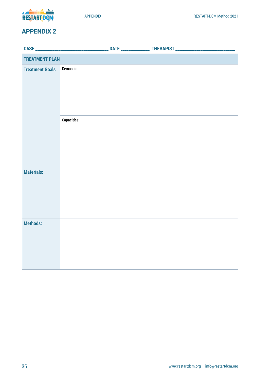

### **APPENDIX 2**

| <b>TREATMENT PLAN</b>  |             |  |
|------------------------|-------------|--|
| <b>Treatment Goals</b> | Demands:    |  |
|                        | Capacities: |  |
| <b>Materials:</b>      |             |  |
| <b>Methods:</b>        |             |  |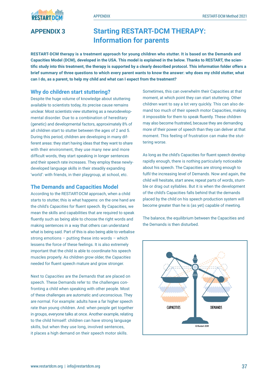<span id="page-34-0"></span>

### **APPENDIX 3 Starting RESTART-DCM THERAPY: Information for parents**

**RESTART-DCM therapy is a treatment approach for young children who stutter. It is based on the Demands and Capacities Model (DCM), developed in the USA. This model is explained in the below. Thanks to RESTART, the scientific study into this treatment, the therapy is supported by a clearly described protocol. This information folder offers a brief summary of three questions to which every parent wants to know the answer: why does my child stutter, what can I do, as a parent, to help my child and what can I expect from the treatment?**

### **Why do children start stuttering?**

Despite the huge volume of knowledge about stuttering available to scientists today, its precise cause remains unclear. Most scientists view stuttering as a neurodevelopmental disorder. Due to a combination of hereditary (genetic) and developmental factors, approximately 8% of all children start to stutter between the ages of 2 and 5. During this period, children are developing in many different areas: they start having ideas that they want to share with their environment, they use many new and more difficult words, they start speaking in longer sentences and their speech rate increases. They employ these newlydeveloped language skills in their steadily expanding 'world': with friends, in their playgroup, at school, etc.

### **The Demands and Capacities Model**

According to the RESTART-DCM approach, when a child starts to stutter, this is what happens: on the one hand are the child's *Capacities* for fluent speech. By Capacities, we mean the skills and capabilities that are required to speak fluently such as being able to choose the right words and making sentences in a way that others can understand what is being said. Part of this is also being able to verbalise strong emotions – putting these into words – which lessens the force of these feelings. It is also extremely important that the child is able to coordinate his speech muscles properly. As children grow older, the *Capacities* needed for fluent speech mature and grow stronger.

Next to *Capacities* are the *Demands* that are placed on speech. These Demands refer to: the challenges confronting a child when speaking with other people. Most of these challenges are automatic and unconscious. They are normal. For example: adults have a far higher speech rate than young children. And: when people get together in groups, everyone talks at once. Another example, relating to the child himself: children can have strong language skills, but when they use long, involved sentences, it places a high demand on their speech motor skills.

Sometimes, this can overwhelm their Capacities at that moment, at which point they can start stuttering. Other children want to say a lot very quickly. This can also demand too much of their speech motor Capacities, making it impossible for them to speak fluently. These children may also become frustrated, because they are demanding more of their power of speech than they can deliver at that moment. This feeling of frustration can make the stuttering worse.

As long as the child's Capacities for fluent speech develop rapidly enough, there is nothing particularly noticeable about his speech. The Capacities are strong enough to fulfil the increasing level of Demands. Now and again, the child will hesitate, start anew, repeat parts of words, stumble or drag out syllables. But it is when the development of the child's Capacities falls behind that the demands placed by the child on his speech production system will become greater than he is (as yet) capable of meeting.

The balance, the equilibrium between the Capacities and the Demands is then disturbed.

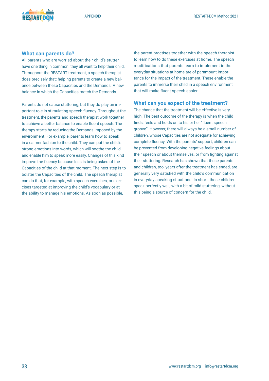### **What can parents do?**

All parents who are worried about their child's stutter have one thing in common: they all want to help their child. Throughout the RESTART treatment, a speech therapist does precisely that: helping parents to create a new balance between these Capacities and the Demands. A new balance in which the Capacities match the Demands.

Parents do not cause stuttering, but they do play an important role in stimulating speech fluency. Throughout the treatment, the parents and speech therapist work together to achieve a better balance to enable fluent speech. The therapy starts by reducing the Demands imposed by the environment. For example, parents learn how to speak in a calmer fashion to the child. They can put the child's strong emotions into words, which will soothe the child and enable him to speak more easily. Changes of this kind improve the fluency because less is being asked of the Capacities of the child at that moment. The next step is to bolster the Capacities of the child. The speech therapist can do that, for example, with speech exercises, or exercises targeted at improving the child's vocabulary or at the ability to manage his emotions. As soon as possible,

the parent practises together with the speech therapist to learn how to do these exercises at home. The speech modifications that parents learn to implement in the everyday situations at home are of paramount importance for the impact of the treatment. These enable the parents to immerse their child in a speech environment that will make fluent speech easier.

### **What can you expect of the treatment?**

The chance that the treatment will be effective is very high. The best outcome of the therapy is when the child finds, feels and holds on to his or her "fluent speech groove". However, there will always be a small number of children, whose Capacities are not adequate for achieving complete fluency. With the parents' support, children can be prevented from developing negative feelings about their speech or about themselves, or from fighting against their stuttering. Research has shown that these parents and children, too, years after the treatment has ended, are generally very satisfied with the child's communication in everyday speaking situations. In short, these children speak perfectly well, with a bit of mild stuttering, without this being a source of concern for the child.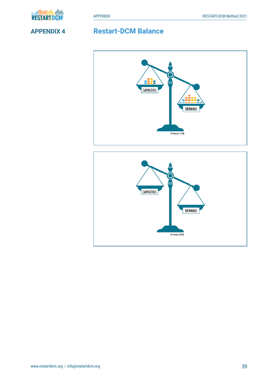<span id="page-36-0"></span>

### **APPENDIX 4 Restart-DCM Balance**



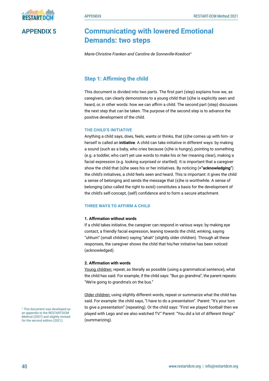### <span id="page-37-0"></span>**APPENDIX 5 Communicating with lowered Emotional Demands: two steps**

*Marie-Christine Franken and Caroline de Sonneville-Koedoot<sup>1</sup>* 

### **Step 1: Affirming the child**

This document is divided into two parts. The first part (step) explains how we, as caregivers, can clearly demonstrate to a young child that (s)he is explicitly seen and heard, or, in other words: how we can *affirm* a child. The second part (step) discusses the next step that can be taken. The purpose of the second step is to advance the positive development of the child.

### **THE CHILD'S INITIATIVE**

Anything a child says, does, feels, wants or thinks, that (s)he comes up with him- or herself is called an **initiative**. A child can take initiative in different ways: by making a sound (such as a baby, who cries because (s)he is hungry), pointing to something (e.g. a toddler, who can't yet use words to make his or her meaning clear), making a facial expression (e.g. looking surprised or startled). It is important that a caregiver show the child that (s)he sees his or her initiatives. By noticing (**="acknowledging"**) the child's initiatives, a child feels seen and heard. This is important: it gives the child a sense of belonging and sends the message that (s)he is worthwhile. A sense of belonging (also called the right to exist) constitutes a basis for the development of the child's self-concept, (self) confidence and to form a secure attachment.

### **THREE WAYS TO AFFIRM A CHILD**

### **1. Affirmation without words**

If a child takes initiative, the caregiver can respond in various ways: by making eye contact, a friendly facial expression, leaning towards the child, winking, saying "uhhum" (small children) saying "ahah" (slightly older children). Through all these responses, the caregiver shows the child that his/her initiative has been noticed (acknowledged).

### **2. Affirmation with words**

Young children: repeat, as literally as possible (using a grammatical sentence), what the child has said. For example, if the child says: "Bus go grandma", the parent repeats: "We're going to grandma's on the bus."

Older children: using slightly different words, repeat or summarize what the child has said. For example: the child says, "I have to do a presentation". Parent: "It's your turn to give a presentation" (repeating). Or the child says: "First we played football then we played with Lego and we also watched TV." Parent: "You did a lot of different things" (summarizing).

<sup>1</sup> This document was developed as an appendix to the RESTART-DCM Method (2007) and slightly revised for the second edition (2021).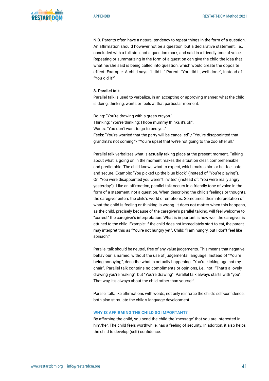

N.B. Parents often have a natural tendency to repeat things in the form of a question. An affirmation should however not be a question, but a declarative statement, i.e., concluded with a full stop, not a question mark, and said in a friendly tone of voice. Repeating or summarizing in the form of a question can give the child the idea that what he/she said is being called into question, which would create the opposite effect. Example: A child says: "I did it." Parent: "You did it, well done", instead of "You did it?"

### **3. Parallel talk**

Parallel talk is used to verbalize, in an accepting or approving manner, what the child is doing, thinking, wants or feels at that particular moment.

Doing: "You're drawing with a green crayon." Thinking: "You're thinking: I hope mummy thinks it's ok". Wants: "You don't want to go to bed yet." Feels: "You're worried that the party will be cancelled" / "You're disappointed that grandma's not coming."/ "You're upset that we're not going to the zoo after all."

Parallel talk verbalizes what is **actually** taking place at the present moment. Talking about what is going on in the moment makes the situation clear, comprehensible and predictable. The child knows what to expect, which makes him or her feel safe and secure. Example: "You picked up the blue block" (instead of "You're playing"). Or: "You were disappointed you weren't invited' (instead of: "You were really angry yesterday"). Like an affirmation, parallel talk occurs in a friendly tone of voice in the form of a statement, not a question. When describing the child's feelings or thoughts, the caregiver enters the child's world or emotions. Sometimes their interpretation of what the child is feeling or thinking is wrong. It does not matter when this happens, as the child, precisely because of the caregiver's parallel talking, will feel welcome to "correct" the caregiver's interpretation. What is important is how well the caregiver is attuned to the child. Example: if the child does not immediately start to eat, the parent may interpret this as "You're not hungry yet". Child: "I am hungry, but I don't feel like spinach."

Parallel talk should be neutral, free of any value judgements. This means that negative behaviour is named, without the use of judgemental language. Instead of "You're being annoying", describe what is actually happening: "You're kicking against my chair". Parallel talk contains no compliments or opinions, i.e., not: "That's a lovely drawing you're making", but "You're drawing". Parallel talk always starts with "you". That way, it's always about the child rather than yourself.

Parallel talk, like affirmations with words, not only reinforce the child's self-confidence; both also stimulate the child's language development.

### **WHY IS AFFIRMING THE CHILD SO IMPORTANT?**

By affirming the child, you send the child the 'message' that you are interested in him/her. The child feels worthwhile, has a feeling of security. In addition, it also helps the child to develop (self) confidence.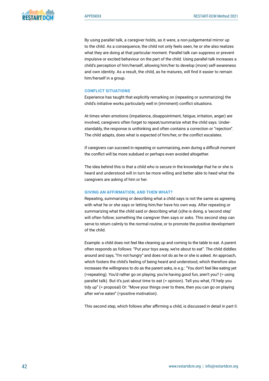By using parallel talk, a caregiver holds, as it were, a non-judgemental mirror up to the child. As a consequence, the child not only feels seen, he or she also realizes what they are doing at that particular moment. Parallel talk can suppress or prevent impulsive or excited behaviour on the part of the child. Using parallel talk increases a child's perception of him/herself, allowing him/her to develop (more) self-awareness and own identity. As a result, the child, as he matures, will find it easier to remain him/herself in a group.

### **CONFLICT SITUATIONS**

Experience has taught that explicitly remarking on (repeating or summarizing) the child's initiative works particularly well in (imminent) conflict situations.

At times when emotions (impatience, disappointment, fatigue, irritation, anger) are involved, caregivers often forget to repeat/summarize what the child says. Understandably, the response is unthinking and often contains a correction or "rejection". The child adapts, does what is expected of him/her, or the conflict escalates.

If caregivers can succeed in repeating or summarizing, even during a difficult moment the conflict will be more subdued or perhaps even avoided altogether.

The idea behind this is that a child who is secure in the knowledge that he or she is heard and understood will in turn be more willing and better able to heed what the caregivers are asking of him or her.

### **GIVING AN AFFIRMATION, AND THEN WHAT?**

Repeating, summarizing or describing what a child says is not the same as agreeing with what he or she says or letting him/her have his own way. After repeating or summarizing what the child said or describing what (s)he is doing, a 'second step' will often follow; something the caregiver then says or asks. This second step can serve to return calmly to the normal routine, or to promote the positive development of the child.

Example: a child does not feel like cleaning up and coming to the table to eat. A parent often responds as follows: "Put your toys away, we're about to eat". The child diddles around and says, "I'm not hungry" and does not do as he or she is asked. An approach, which fosters the child's feeling of being heard and understood, which therefore also increases the willingness to do as the parent asks, is e.g.: "You don't feel like eating yet (=repeating). You'd rather go on playing; you're having good fun, aren't you? (= using parallel talk). But it's just about time to eat (= opinion). Tell you what, I'll help you tidy up" (= proposal) Or: "Move your things over to there, then you can go on playing after we've eaten" (=positive motivation).

This second step, which follows after affirming a child, is discussed in detail in part II.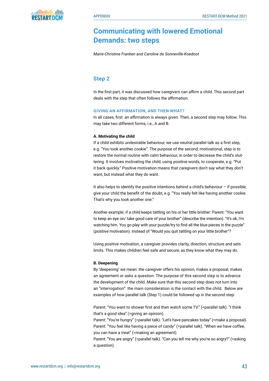

### **Communicating with lowered Emotional Demands: two steps**

*Marie-Christine Franken and Caroline de Sonneville-Koedoot* 

### **Step 2**

In the first part, it was discussed how caregivers can *affirm* a child. This second part deals with the step that often follows the affirmation.

### **GIVING AN AFFIRMATION, AND THEN WHAT?**

In all cases, first: an affirmation is always given. Then, a second step may follow. This may take two different forms, i.e., A and B.

### **A. Motivating the child**

If a child exhibits undesirable behaviour, we use neutral parallel talk as a first step, e.g. "You took another cookie". The purpose of the second, motivational, step is to restore the normal routine with calm behaviour, in order to decrease the child's stuttering. It involves motivating the child, using positive words, to cooperate, e.g. "Put it back quickly." Positive motivation means that caregivers don't say what they *don't* want, but instead what they *do* want.

It also helps to identify the positive intentions behind a child's behaviour  $-$  if possible. give your child the benefit of the doubt, e.g. "You really felt like having another cookie. That's why you took another one."

Another example: if a child keeps tattling on his or her little brother: Parent: "You want to keep an eye on/ take good care of your brother" (describe the intention). "It's ok, I'm watching him. You go play with your puzzle/try to find all the blue pieces in the puzzle" (positive motivation). Instead of "Would you quit tattling on your little brother"?

Using positive motivation, a caregiver provides clarity, direction, structure and sets limits. This makes children feel safe and secure, as they know what they may do.

### **B. Deepening**

By 'deepening' we mean: the caregiver offers his opinion, makes a proposal, makes an agreement or asks a question. The purpose of this second step is to advance the development of the child. Make sure that this second step does not turn into an "interrogation": the main consideration is the contact with the child. Below are examples of how parallel talk (Step 1) could be followed up in the second step:

Parent: "You want to shower first and then watch some TV." (=parallel talk). "I think that's a good idea" (=giving an opinion).

Parent: "You're hungry" (=parallel talk). "Let's have pancakes today" (=make a proposal). Parent: "You feel like having a piece of candy" (=parallel talk). "When we have coffee, you can have a treat" (=making an agreement).

Parent: "You are angry" (=parallel talk). "Can you tell me why you're so angry?" (=asking a question).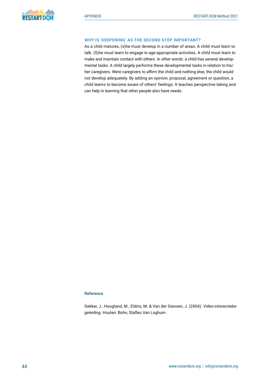### **WHY IS 'DEEPENING' AS THE SECOND STEP IMPORTANT?**

As a child matures, (s)he must develop in a number of areas. A child must learn to talk. (S)he must learn to engage in age-appropriate activities. A child must learn to make and maintain contact with others. In other words: a child has several developmental tasks. A child largely performs these developmental tasks in relation to his/ her caregivers. Were caregivers to affirm the child and nothing else, the child would not develop adequately. By adding an opinion, proposal, agreement or question, a child learns to become aware of others' feelings. It teaches perspective taking and can help in learning that other people also have needs.

### **Reference**

Dekker, J., Hoogland, M., Eliëns, M. & Van der Giessen, J. (2004). *Video-interactiebegeleiding.* Houten: Bohn, Stafleu Van Loghum.